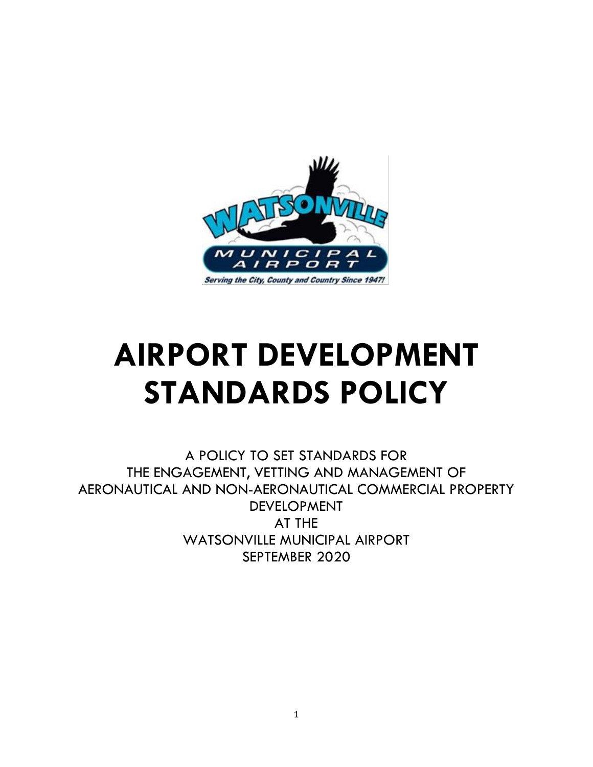

# **AIRPORT DEVELOPMENT STANDARDS POLICY**

A POLICY TO SET STANDARDS FOR THE ENGAGEMENT, VETTING AND MANAGEMENT OF AERONAUTICAL AND NON-AERONAUTICAL COMMERCIAL PROPERTY DEVELOPMENT AT THE WATSONVILLE MUNICIPAL AIRPORT SEPTEMBER 2020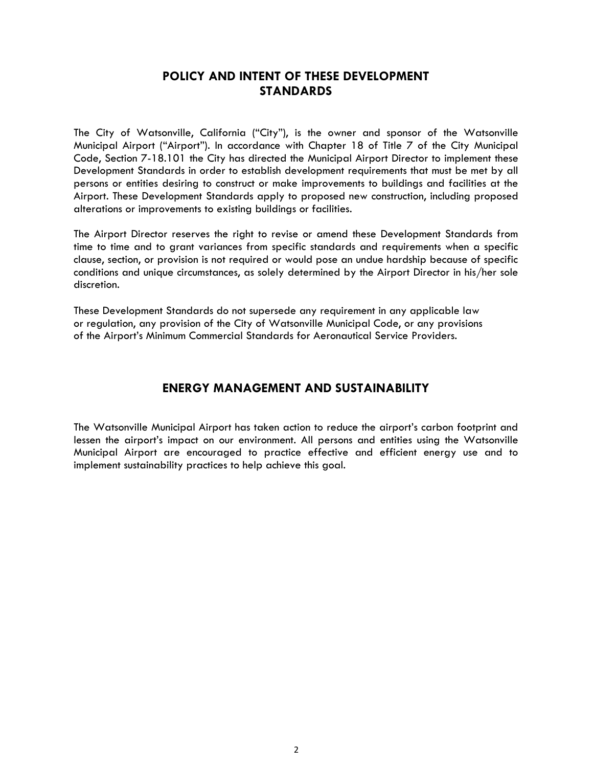# **POLICY AND INTENT OF THESE DEVELOPMENT STANDARDS**

The City of Watsonville, California ("City"), is the owner and sponsor of the Watsonville Municipal Airport ("Airport"). In accordance with Chapter 18 of Title 7 of the City Municipal Code, Section 7-18.101 the City has directed the Municipal Airport Director to implement these Development Standards in order to establish development requirements that must be met by all persons or entities desiring to construct or make improvements to buildings and facilities at the Airport. These Development Standards apply to proposed new construction, including proposed alterations or improvements to existing buildings or facilities.

The Airport Director reserves the right to revise or amend these Development Standards from time to time and to grant variances from specific standards and requirements when a specific clause, section, or provision is not required or would pose an undue hardship because of specific conditions and unique circumstances, as solely determined by the Airport Director in his/her sole discretion.

These Development Standards do not supersede any requirement in any applicable law or regulation, any provision of the City of Watsonville Municipal Code, or any provisions of the Airport's Minimum Commercial Standards for Aeronautical Service Providers.

# **ENERGY MANAGEMENT AND SUSTAINABILITY**

The Watsonville Municipal Airport has taken action to reduce the airport's carbon footprint and lessen the airport's impact on our environment. All persons and entities using the Watsonville Municipal Airport are encouraged to practice effective and efficient energy use and to implement sustainability practices to help achieve this goal.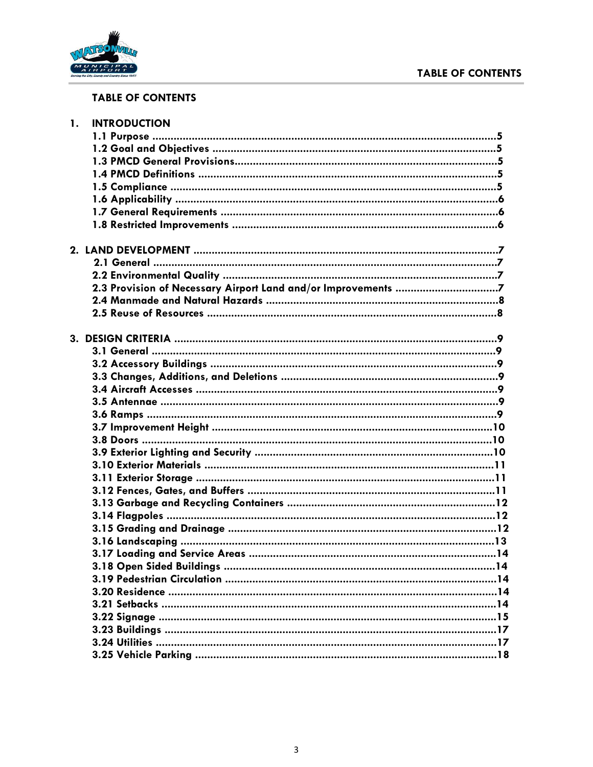# **TABLE OF CONTENTS**



# **TABLE OF CONTENTS**

| 1. | <b>INTRODUCTION</b> |  |
|----|---------------------|--|
|    |                     |  |
|    |                     |  |
|    |                     |  |
|    |                     |  |
|    |                     |  |
|    |                     |  |
|    |                     |  |
|    |                     |  |
|    |                     |  |
|    |                     |  |
|    |                     |  |
|    |                     |  |
|    |                     |  |
|    |                     |  |
|    |                     |  |
|    |                     |  |
|    |                     |  |
|    |                     |  |
|    |                     |  |
|    |                     |  |
|    |                     |  |
|    |                     |  |
|    |                     |  |
|    |                     |  |
|    |                     |  |
|    |                     |  |
|    |                     |  |
|    |                     |  |
|    |                     |  |
|    |                     |  |
|    |                     |  |
|    |                     |  |
|    |                     |  |
|    |                     |  |
|    |                     |  |
|    |                     |  |
|    |                     |  |
|    |                     |  |
|    |                     |  |
|    |                     |  |
|    |                     |  |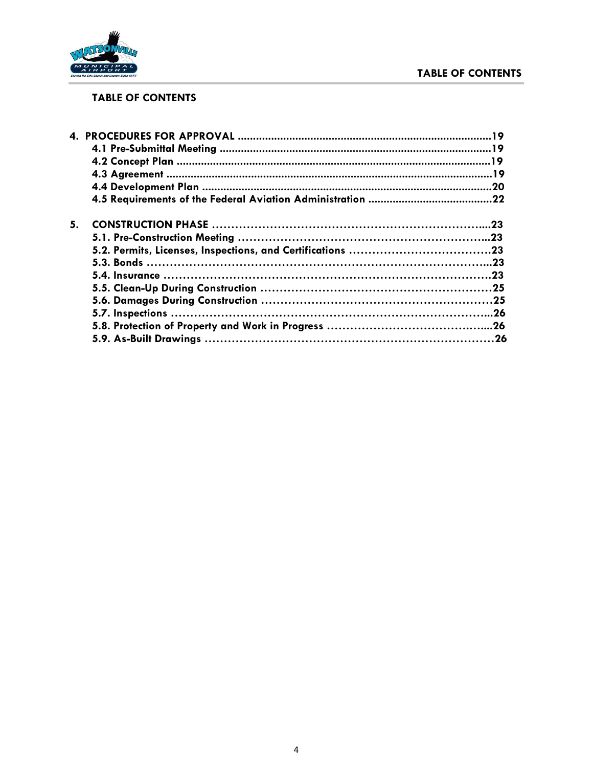# **TABLE OF CONTENTS**



# **TABLE OF CONTENTS**

| 5. |  |
|----|--|
|    |  |
|    |  |
|    |  |
|    |  |
|    |  |
|    |  |
|    |  |
|    |  |
|    |  |
|    |  |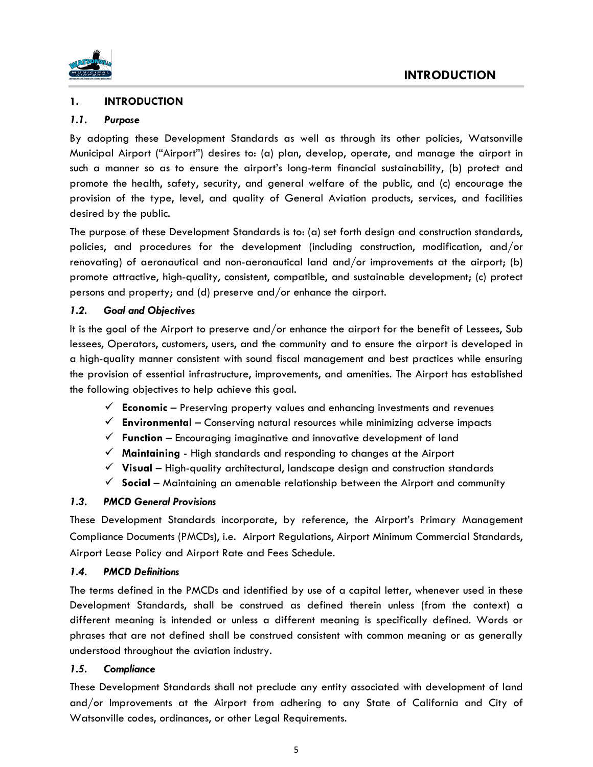

# **1. INTRODUCTION**

## *1.1. Purpose*

By adopting these Development Standards as well as through its other policies, Watsonville Municipal Airport ("Airport") desires to: (a) plan, develop, operate, and manage the airport in such a manner so as to ensure the airport's long-term financial sustainability, (b) protect and promote the health, safety, security, and general welfare of the public, and (c) encourage the provision of the type, level, and quality of General Aviation products, services, and facilities desired by the public.

The purpose of these Development Standards is to: (a) set forth design and construction standards, policies, and procedures for the development (including construction, modification, and/or renovating) of aeronautical and non-aeronautical land and/or improvements at the airport; (b) promote attractive, high-quality, consistent, compatible, and sustainable development; (c) protect persons and property; and (d) preserve and/or enhance the airport.

#### *1.2. Goal and Objectives*

It is the goal of the Airport to preserve and/or enhance the airport for the benefit of Lessees, Sub lessees, Operators, customers, users, and the community and to ensure the airport is developed in a high-quality manner consistent with sound fiscal management and best practices while ensuring the provision of essential infrastructure, improvements, and amenities. The Airport has established the following objectives to help achieve this goal.

- ✓ **Economic**  Preserving property values and enhancing investments and revenues
- ✓ **Environmental**  Conserving natural resources while minimizing adverse impacts
- $\checkmark$  **Function** Encouraging imaginative and innovative development of land
- ✓ **Maintaining** High standards and responding to changes at the Airport
- ✓ **Visual**  High-quality architectural, landscape design and construction standards
- ✓ **Social**  Maintaining an amenable relationship between the Airport and community

#### *1.3. PMCD General Provisions*

These Development Standards incorporate, by reference, the Airport's Primary Management Compliance Documents (PMCDs), i.e. Airport Regulations, Airport Minimum Commercial Standards, Airport Lease Policy and Airport Rate and Fees Schedule.

#### *1.4. PMCD Definitions*

The terms defined in the PMCDs and identified by use of a capital letter, whenever used in these Development Standards, shall be construed as defined therein unless (from the context) a different meaning is intended or unless a different meaning is specifically defined. Words or phrases that are not defined shall be construed consistent with common meaning or as generally understood throughout the aviation industry.

# *1.5. Compliance*

These Development Standards shall not preclude any entity associated with development of land and/or Improvements at the Airport from adhering to any State of California and City of Watsonville codes, ordinances, or other Legal Requirements.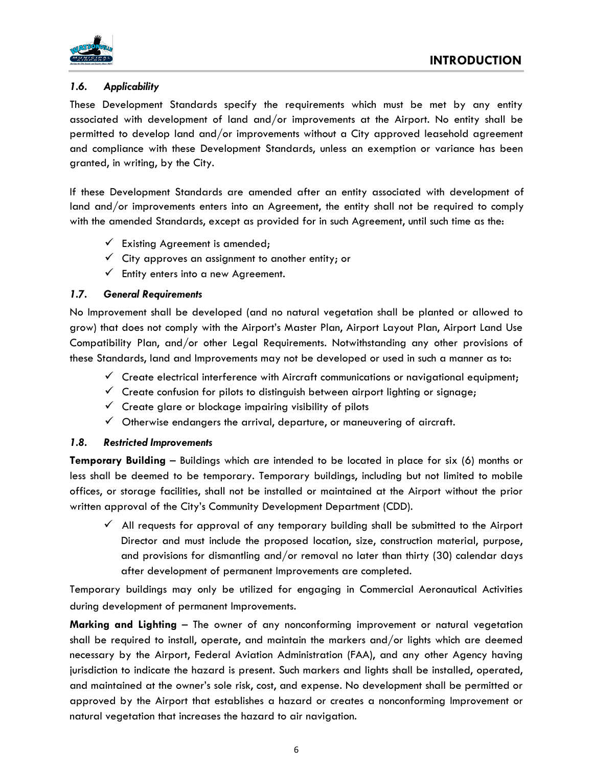

# *1.6. Applicability*

These Development Standards specify the requirements which must be met by any entity associated with development of land and/or improvements at the Airport. No entity shall be permitted to develop land and/or improvements without a City approved leasehold agreement and compliance with these Development Standards, unless an exemption or variance has been granted, in writing, by the City.

If these Development Standards are amended after an entity associated with development of land and/or improvements enters into an Agreement, the entity shall not be required to comply with the amended Standards, except as provided for in such Agreement, until such time as the:

- $\checkmark$  Existing Agreement is amended;
- $\checkmark$  City approves an assignment to another entity; or
- $\checkmark$  Entity enters into a new Agreement.

# *1.7. General Requirements*

No Improvement shall be developed (and no natural vegetation shall be planted or allowed to grow) that does not comply with the Airport's Master Plan, Airport Layout Plan, Airport Land Use Compatibility Plan, and/or other Legal Requirements. Notwithstanding any other provisions of these Standards, land and Improvements may not be developed or used in such a manner as to:

- $\checkmark$  Create electrical interference with Aircraft communications or navigational equipment;
- $\checkmark$  Create confusion for pilots to distinguish between airport lighting or signage;
- $\checkmark$  Create glare or blockage impairing visibility of pilots
- $\checkmark$  Otherwise endangers the arrival, departure, or maneuvering of aircraft.

# *1.8. Restricted Improvements*

**Temporary Building** – Buildings which are intended to be located in place for six (6) months or less shall be deemed to be temporary. Temporary buildings, including but not limited to mobile offices, or storage facilities, shall not be installed or maintained at the Airport without the prior written approval of the City's Community Development Department (CDD).

 $\checkmark$  All requests for approval of any temporary building shall be submitted to the Airport Director and must include the proposed location, size, construction material, purpose, and provisions for dismantling and/or removal no later than thirty (30) calendar days after development of permanent Improvements are completed.

Temporary buildings may only be utilized for engaging in Commercial Aeronautical Activities during development of permanent Improvements.

**Marking and Lighting** – The owner of any nonconforming improvement or natural vegetation shall be required to install, operate, and maintain the markers and/or lights which are deemed necessary by the Airport, Federal Aviation Administration (FAA), and any other Agency having jurisdiction to indicate the hazard is present. Such markers and lights shall be installed, operated, and maintained at the owner's sole risk, cost, and expense. No development shall be permitted or approved by the Airport that establishes a hazard or creates a nonconforming Improvement or natural vegetation that increases the hazard to air navigation.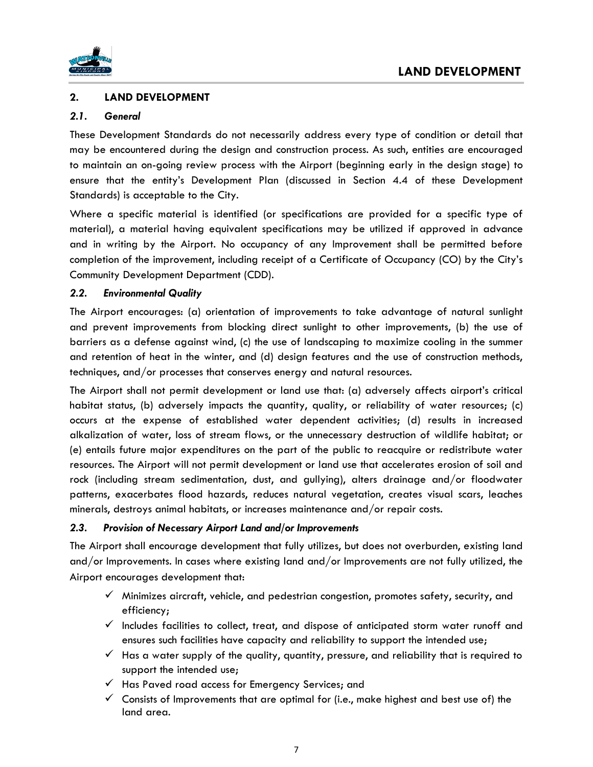



## **2. LAND DEVELOPMENT**

#### *2.1. General*

These Development Standards do not necessarily address every type of condition or detail that may be encountered during the design and construction process. As such, entities are encouraged to maintain an on-going review process with the Airport (beginning early in the design stage) to ensure that the entity's Development Plan (discussed in Section 4.4 of these Development Standards) is acceptable to the City.

Where a specific material is identified (or specifications are provided for a specific type of material), a material having equivalent specifications may be utilized if approved in advance and in writing by the Airport. No occupancy of any Improvement shall be permitted before completion of the improvement, including receipt of a Certificate of Occupancy (CO) by the City's Community Development Department (CDD).

#### *2.2. Environmental Quality*

The Airport encourages: (a) orientation of improvements to take advantage of natural sunlight and prevent improvements from blocking direct sunlight to other improvements, (b) the use of barriers as a defense against wind, (c) the use of landscaping to maximize cooling in the summer and retention of heat in the winter, and (d) design features and the use of construction methods, techniques, and/or processes that conserves energy and natural resources.

The Airport shall not permit development or land use that: (a) adversely affects airport's critical habitat status, (b) adversely impacts the quantity, quality, or reliability of water resources; (c) occurs at the expense of established water dependent activities; (d) results in increased alkalization of water, loss of stream flows, or the unnecessary destruction of wildlife habitat; or (e) entails future major expenditures on the part of the public to reacquire or redistribute water resources. The Airport will not permit development or land use that accelerates erosion of soil and rock (including stream sedimentation, dust, and gullying), alters drainage and/or floodwater patterns, exacerbates flood hazards, reduces natural vegetation, creates visual scars, leaches minerals, destroys animal habitats, or increases maintenance and/or repair costs.

#### *2.3. Provision of Necessary Airport Land and/or Improvements*

The Airport shall encourage development that fully utilizes, but does not overburden, existing land and/or Improvements. In cases where existing land and/or Improvements are not fully utilized, the Airport encourages development that:

- $\checkmark$  Minimizes aircraft, vehicle, and pedestrian congestion, promotes safety, security, and efficiency;
- $\checkmark$  Includes facilities to collect, treat, and dispose of anticipated storm water runoff and ensures such facilities have capacity and reliability to support the intended use;
- $\checkmark$  Has a water supply of the quality, quantity, pressure, and reliability that is required to support the intended use;
- ✓ Has Paved road access for Emergency Services; and
- $\checkmark$  Consists of Improvements that are optimal for (i.e., make highest and best use of) the land area.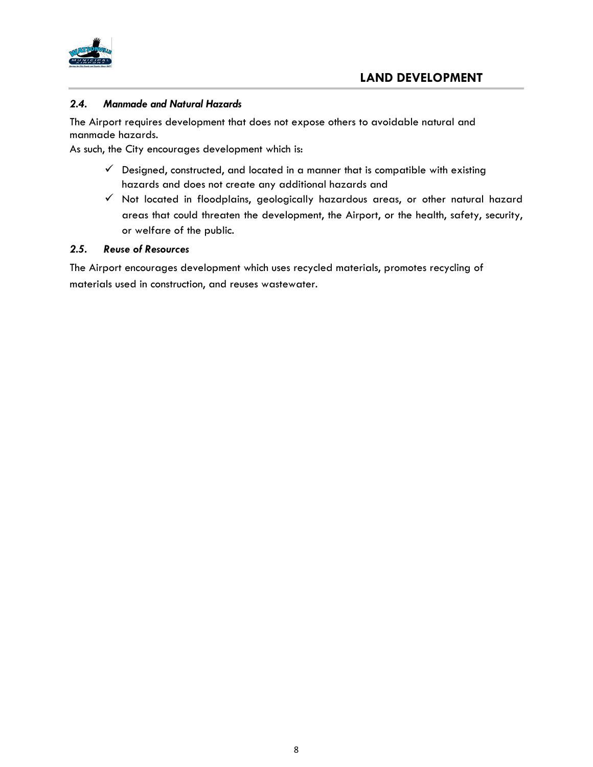

#### *2.4. Manmade and Natural Hazards*

The Airport requires development that does not expose others to avoidable natural and manmade hazards.

As such, the City encourages development which is:

- $\checkmark$  Designed, constructed, and located in a manner that is compatible with existing hazards and does not create any additional hazards and
- ✓ Not located in floodplains, geologically hazardous areas, or other natural hazard areas that could threaten the development, the Airport, or the health, safety, security, or welfare of the public.

#### *2.5. Reuse of Resources*

The Airport encourages development which uses recycled materials, promotes recycling of materials used in construction, and reuses wastewater.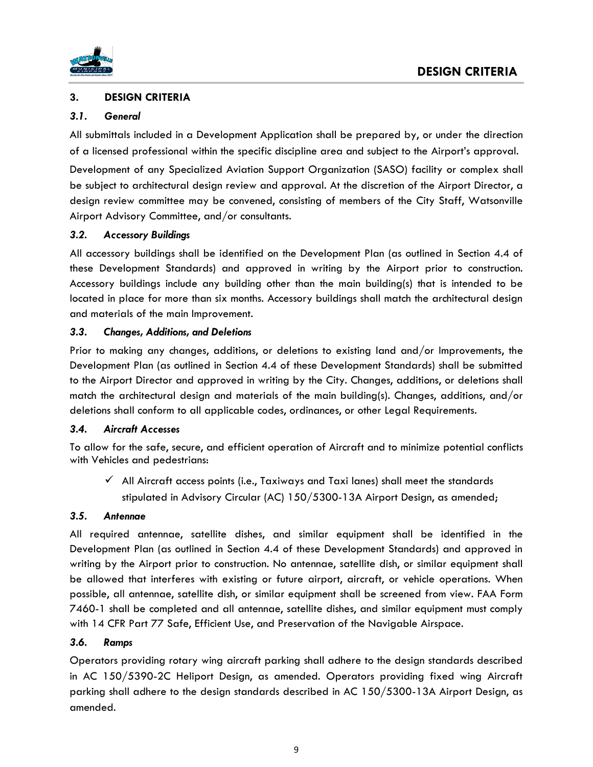



## **3. DESIGN CRITERIA**

#### *3.1. General*

All submittals included in a Development Application shall be prepared by, or under the direction of a licensed professional within the specific discipline area and subject to the Airport's approval.

Development of any Specialized Aviation Support Organization (SASO) facility or complex shall be subject to architectural design review and approval. At the discretion of the Airport Director, a design review committee may be convened, consisting of members of the City Staff, Watsonville Airport Advisory Committee, and/or consultants.

#### *3.2. Accessory Buildings*

All accessory buildings shall be identified on the Development Plan (as outlined in Section 4.4 of these Development Standards) and approved in writing by the Airport prior to construction. Accessory buildings include any building other than the main building(s) that is intended to be located in place for more than six months. Accessory buildings shall match the architectural design and materials of the main Improvement.

#### *3.3. Changes, Additions, and Deletions*

Prior to making any changes, additions, or deletions to existing land and/or Improvements, the Development Plan (as outlined in Section 4.4 of these Development Standards) shall be submitted to the Airport Director and approved in writing by the City. Changes, additions, or deletions shall match the architectural design and materials of the main building(s). Changes, additions, and/or deletions shall conform to all applicable codes, ordinances, or other Legal Requirements.

# *3.4. Aircraft Accesses*

To allow for the safe, secure, and efficient operation of Aircraft and to minimize potential conflicts with Vehicles and pedestrians:

 $\checkmark$  All Aircraft access points (i.e., Taxiways and Taxi lanes) shall meet the standards stipulated in Advisory Circular (AC) 150/5300-13A Airport Design, as amended;

# *3.5. Antennae*

All required antennae, satellite dishes, and similar equipment shall be identified in the Development Plan (as outlined in Section 4.4 of these Development Standards) and approved in writing by the Airport prior to construction. No antennae, satellite dish, or similar equipment shall be allowed that interferes with existing or future airport, aircraft, or vehicle operations. When possible, all antennae, satellite dish, or similar equipment shall be screened from view. FAA Form 7460-1 shall be completed and all antennae, satellite dishes, and similar equipment must comply with 14 CFR Part 77 Safe, Efficient Use, and Preservation of the Navigable Airspace.

#### *3.6. Ramps*

Operators providing rotary wing aircraft parking shall adhere to the design standards described in AC 150/5390-2C Heliport Design, as amended. Operators providing fixed wing Aircraft parking shall adhere to the design standards described in AC 150/5300-13A Airport Design, as amended.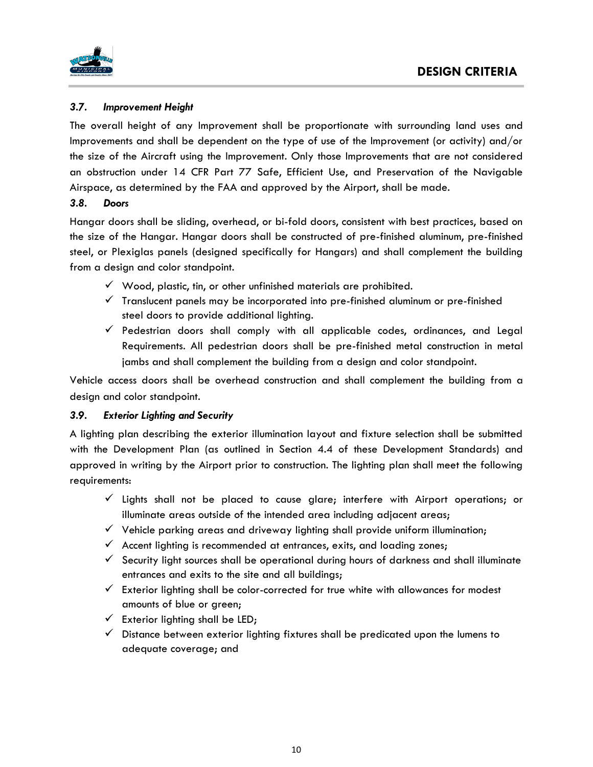

# *3.7. Improvement Height*

The overall height of any Improvement shall be proportionate with surrounding land uses and Improvements and shall be dependent on the type of use of the Improvement (or activity) and/or the size of the Aircraft using the Improvement. Only those Improvements that are not considered an obstruction under 14 CFR Part 77 Safe, Efficient Use, and Preservation of the Navigable Airspace, as determined by the FAA and approved by the Airport, shall be made.

#### *3.8. Doors*

Hangar doors shall be sliding, overhead, or bi-fold doors, consistent with best practices, based on the size of the Hangar. Hangar doors shall be constructed of pre-finished aluminum, pre-finished steel, or Plexiglas panels (designed specifically for Hangars) and shall complement the building from a design and color standpoint.

- $\checkmark$  Wood, plastic, tin, or other unfinished materials are prohibited.
- $\checkmark$  Translucent panels may be incorporated into pre-finished aluminum or pre-finished steel doors to provide additional lighting.
- $\checkmark$  Pedestrian doors shall comply with all applicable codes, ordinances, and Legal Requirements. All pedestrian doors shall be pre-finished metal construction in metal jambs and shall complement the building from a design and color standpoint.

Vehicle access doors shall be overhead construction and shall complement the building from a design and color standpoint.

# *3.9. Exterior Lighting and Security*

A lighting plan describing the exterior illumination layout and fixture selection shall be submitted with the Development Plan (as outlined in Section 4.4 of these Development Standards) and approved in writing by the Airport prior to construction. The lighting plan shall meet the following requirements:

- ✓ Lights shall not be placed to cause glare; interfere with Airport operations; or illuminate areas outside of the intended area including adjacent areas;
- $\checkmark$  Vehicle parking areas and driveway lighting shall provide uniform illumination;
- $\checkmark$  Accent lighting is recommended at entrances, exits, and loading zones;
- $\checkmark$  Security light sources shall be operational during hours of darkness and shall illuminate entrances and exits to the site and all buildings;
- $\checkmark$  Exterior lighting shall be color-corrected for true white with allowances for modest amounts of blue or green;
- $\checkmark$  Exterior lighting shall be LED;
- $\checkmark$  Distance between exterior lighting fixtures shall be predicated upon the lumens to adequate coverage; and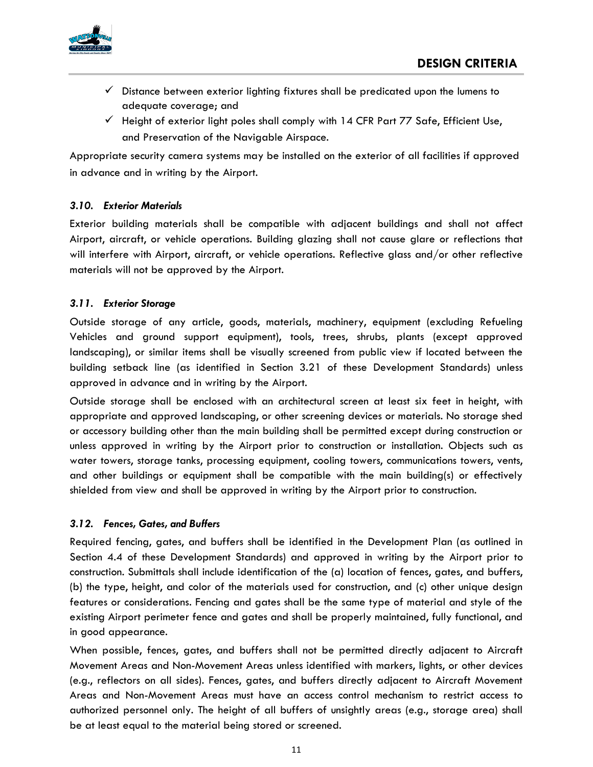

- $\checkmark$  Distance between exterior lighting fixtures shall be predicated upon the lumens to adequate coverage; and
- $\checkmark$  Height of exterior light poles shall comply with 14 CFR Part 77 Safe, Efficient Use, and Preservation of the Navigable Airspace.

Appropriate security camera systems may be installed on the exterior of all facilities if approved in advance and in writing by the Airport.

# *3.10. Exterior Materials*

Exterior building materials shall be compatible with adjacent buildings and shall not affect Airport, aircraft, or vehicle operations. Building glazing shall not cause glare or reflections that will interfere with Airport, aircraft, or vehicle operations. Reflective glass and/or other reflective materials will not be approved by the Airport.

# *3.11. Exterior Storage*

Outside storage of any article, goods, materials, machinery, equipment (excluding Refueling Vehicles and ground support equipment), tools, trees, shrubs, plants (except approved landscaping), or similar items shall be visually screened from public view if located between the building setback line (as identified in Section 3.21 of these Development Standards) unless approved in advance and in writing by the Airport.

Outside storage shall be enclosed with an architectural screen at least six feet in height, with appropriate and approved landscaping, or other screening devices or materials. No storage shed or accessory building other than the main building shall be permitted except during construction or unless approved in writing by the Airport prior to construction or installation. Objects such as water towers, storage tanks, processing equipment, cooling towers, communications towers, vents, and other buildings or equipment shall be compatible with the main building(s) or effectively shielded from view and shall be approved in writing by the Airport prior to construction.

# *3.12. Fences, Gates, and Buffers*

Required fencing, gates, and buffers shall be identified in the Development Plan (as outlined in Section 4.4 of these Development Standards) and approved in writing by the Airport prior to construction. Submittals shall include identification of the (a) location of fences, gates, and buffers, (b) the type, height, and color of the materials used for construction, and (c) other unique design features or considerations. Fencing and gates shall be the same type of material and style of the existing Airport perimeter fence and gates and shall be properly maintained, fully functional, and in good appearance.

When possible, fences, gates, and buffers shall not be permitted directly adjacent to Aircraft Movement Areas and Non-Movement Areas unless identified with markers, lights, or other devices (e.g., reflectors on all sides). Fences, gates, and buffers directly adjacent to Aircraft Movement Areas and Non-Movement Areas must have an access control mechanism to restrict access to authorized personnel only. The height of all buffers of unsightly areas (e.g., storage area) shall be at least equal to the material being stored or screened.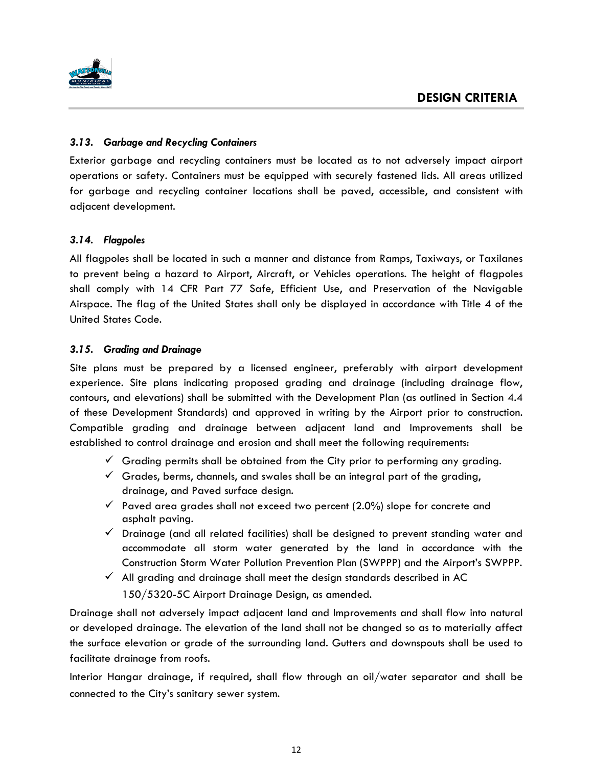

# *3.13. Garbage and Recycling Containers*

Exterior garbage and recycling containers must be located as to not adversely impact airport operations or safety. Containers must be equipped with securely fastened lids. All areas utilized for garbage and recycling container locations shall be paved, accessible, and consistent with adjacent development.

# *3.14. Flagpoles*

All flagpoles shall be located in such a manner and distance from Ramps, Taxiways, or Taxilanes to prevent being a hazard to Airport, Aircraft, or Vehicles operations. The height of flagpoles shall comply with 14 CFR Part 77 Safe, Efficient Use, and Preservation of the Navigable Airspace. The flag of the United States shall only be displayed in accordance with Title 4 of the United States Code.

# *3.15. Grading and Drainage*

Site plans must be prepared by a licensed engineer, preferably with airport development experience. Site plans indicating proposed grading and drainage (including drainage flow, contours, and elevations) shall be submitted with the Development Plan (as outlined in Section 4.4 of these Development Standards) and approved in writing by the Airport prior to construction. Compatible grading and drainage between adjacent land and Improvements shall be established to control drainage and erosion and shall meet the following requirements:

- $\checkmark$  Grading permits shall be obtained from the City prior to performing any grading.
- $\checkmark$  Grades, berms, channels, and swales shall be an integral part of the grading, drainage, and Paved surface design.
- $\checkmark$  Paved area grades shall not exceed two percent (2.0%) slope for concrete and asphalt paving.
- $\checkmark$  Drainage (and all related facilities) shall be designed to prevent standing water and accommodate all storm water generated by the land in accordance with the Construction Storm Water Pollution Prevention Plan (SWPPP) and the Airport's SWPPP.
- $\checkmark$  All grading and drainage shall meet the design standards described in AC 150/5320-5C Airport Drainage Design, as amended.

Drainage shall not adversely impact adjacent land and Improvements and shall flow into natural or developed drainage. The elevation of the land shall not be changed so as to materially affect the surface elevation or grade of the surrounding land. Gutters and downspouts shall be used to facilitate drainage from roofs.

Interior Hangar drainage, if required, shall flow through an oil/water separator and shall be connected to the City's sanitary sewer system.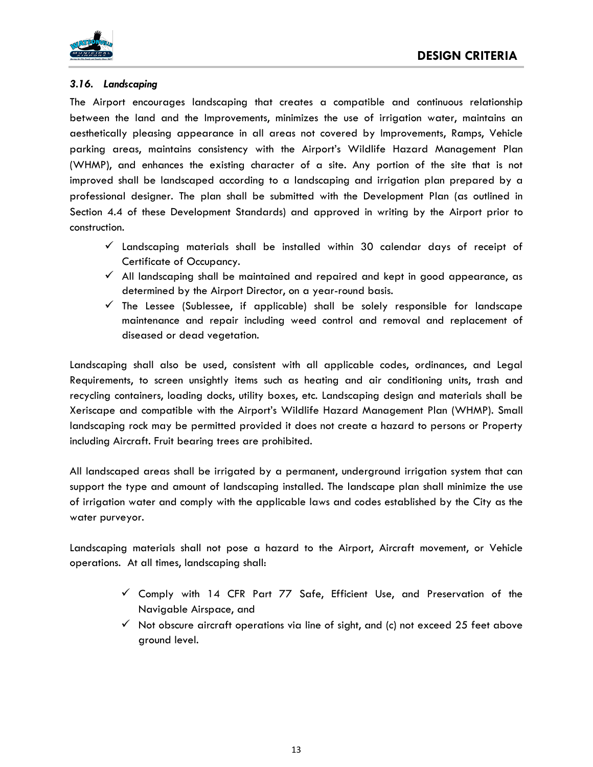

#### *3.16. Landscaping*

The Airport encourages landscaping that creates a compatible and continuous relationship between the land and the Improvements, minimizes the use of irrigation water, maintains an aesthetically pleasing appearance in all areas not covered by Improvements, Ramps, Vehicle parking areas, maintains consistency with the Airport's Wildlife Hazard Management Plan (WHMP), and enhances the existing character of a site. Any portion of the site that is not improved shall be landscaped according to a landscaping and irrigation plan prepared by a professional designer. The plan shall be submitted with the Development Plan (as outlined in Section 4.4 of these Development Standards) and approved in writing by the Airport prior to construction.

- $\checkmark$  Landscaping materials shall be installed within 30 calendar days of receipt of Certificate of Occupancy.
- $\checkmark$  All landscaping shall be maintained and repaired and kept in good appearance, as determined by the Airport Director, on a year-round basis.
- $\checkmark$  The Lessee (Sublessee, if applicable) shall be solely responsible for landscape maintenance and repair including weed control and removal and replacement of diseased or dead vegetation.

Landscaping shall also be used, consistent with all applicable codes, ordinances, and Legal Requirements, to screen unsightly items such as heating and air conditioning units, trash and recycling containers, loading docks, utility boxes, etc. Landscaping design and materials shall be Xeriscape and compatible with the Airport's Wildlife Hazard Management Plan (WHMP). Small landscaping rock may be permitted provided it does not create a hazard to persons or Property including Aircraft. Fruit bearing trees are prohibited.

All landscaped areas shall be irrigated by a permanent, underground irrigation system that can support the type and amount of landscaping installed. The landscape plan shall minimize the use of irrigation water and comply with the applicable laws and codes established by the City as the water purveyor.

Landscaping materials shall not pose a hazard to the Airport, Aircraft movement, or Vehicle operations. At all times, landscaping shall:

- $\checkmark$  Comply with 14 CFR Part 77 Safe, Efficient Use, and Preservation of the Navigable Airspace, and
- $\checkmark$  Not obscure aircraft operations via line of sight, and (c) not exceed 25 feet above ground level.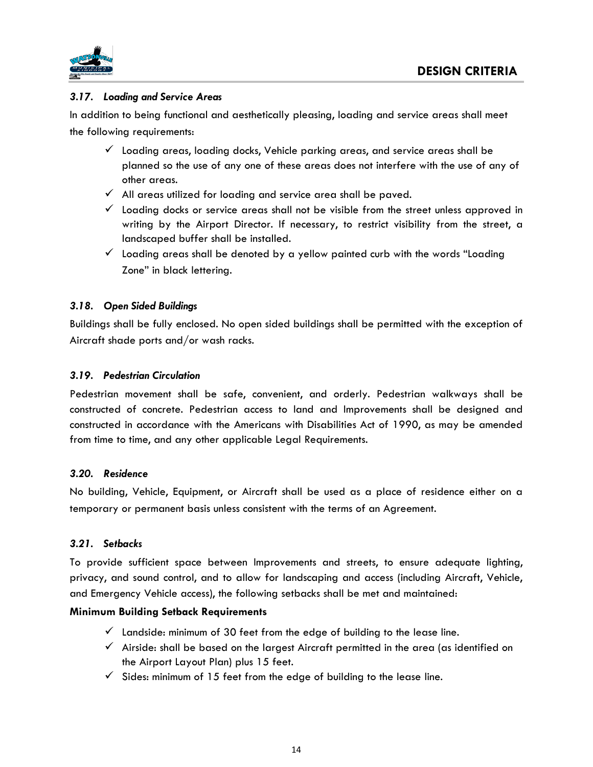

# *3.17. Loading and Service Areas*

In addition to being functional and aesthetically pleasing, loading and service areas shall meet the following requirements:

- $\checkmark$  Loading areas, loading docks, Vehicle parking areas, and service areas shall be planned so the use of any one of these areas does not interfere with the use of any of other areas.
- $\checkmark$  All areas utilized for loading and service area shall be paved.
- $\checkmark$  Loading docks or service areas shall not be visible from the street unless approved in writing by the Airport Director. If necessary, to restrict visibility from the street, a landscaped buffer shall be installed.
- $\checkmark$  Loading areas shall be denoted by a yellow painted curb with the words "Loading Zone" in black lettering.

# *3.18. Open Sided Buildings*

Buildings shall be fully enclosed. No open sided buildings shall be permitted with the exception of Aircraft shade ports and/or wash racks.

# *3.19. Pedestrian Circulation*

Pedestrian movement shall be safe, convenient, and orderly. Pedestrian walkways shall be constructed of concrete. Pedestrian access to land and Improvements shall be designed and constructed in accordance with the Americans with Disabilities Act of 1990, as may be amended from time to time, and any other applicable Legal Requirements.

# *3.20. Residence*

No building, Vehicle, Equipment, or Aircraft shall be used as a place of residence either on a temporary or permanent basis unless consistent with the terms of an Agreement.

# *3.21. Setbacks*

To provide sufficient space between Improvements and streets, to ensure adequate lighting, privacy, and sound control, and to allow for landscaping and access (including Aircraft, Vehicle, and Emergency Vehicle access), the following setbacks shall be met and maintained:

# **Minimum Building Setback Requirements**

- $\checkmark$  Landside: minimum of 30 feet from the edge of building to the lease line.
- $\checkmark$  Airside: shall be based on the largest Aircraft permitted in the area (as identified on the Airport Layout Plan) plus 15 feet.
- $\checkmark$  Sides: minimum of 15 feet from the edge of building to the lease line.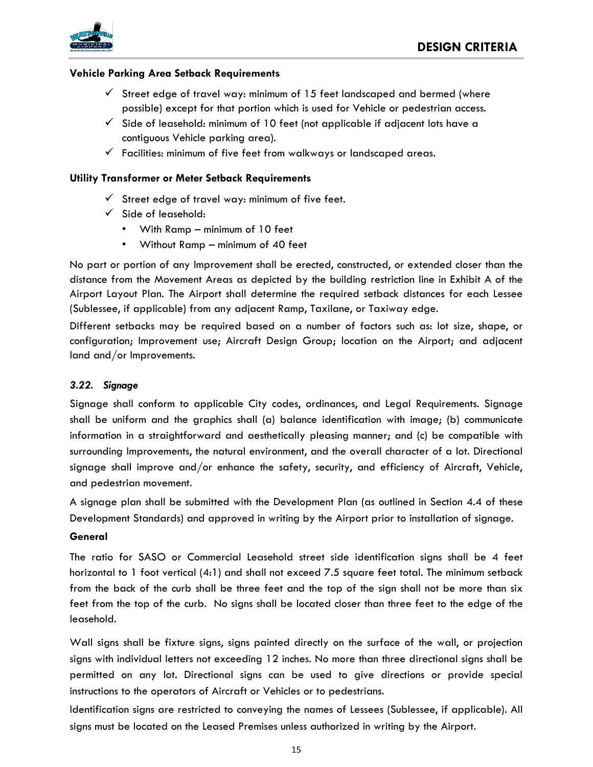

#### **Vehicle Parking Area Setback Requirements**

- $\checkmark$  Street edge of travel way: minimum of 15 feet landscaped and bermed (where possible) except for that portion which is used for Vehicle or pedestrian access.
- $\checkmark$  Side of leasehold: minimum of 10 feet (not applicable if adjacent lots have a contiguous Vehicle parking area).
- $\checkmark$  Facilities: minimum of five feet from walkways or landscaped areas.

## **Utility Transformer or Meter Setback Requirements**

- $\checkmark$  Street edge of travel way: minimum of five feet.
- ✓ Side of leasehold:
	- With Ramp minimum of 10 feet
	- Without Ramp minimum of 40 feet

No part or portion of any Improvement shall be erected, constructed, or extended closer than the distance from the Movement Areas as depicted by the building restriction line in Exhibit A of the Airport Layout Plan. The Airport shall determine the required setback distances for each Lessee (Sublessee, if applicable) from any adjacent Ramp, Taxilane, or Taxiway edge.

Different setbacks may be required based on a number of factors such as: lot size, shape, or configuration; Improvement use; Aircraft Design Group; location on the Airport; and adjacent land and/or Improvements.

#### *3.22. Signage*

Signage shall conform to applicable City codes, ordinances, and Legal Requirements. Signage shall be uniform and the graphics shall (a) balance identification with image; (b) communicate information in a straightforward and aesthetically pleasing manner; and (c) be compatible with surrounding Improvements, the natural environment, and the overall character of a lot. Directional signage shall improve and/or enhance the safety, security, and efficiency of Aircraft, Vehicle, and pedestrian movement.

A signage plan shall be submitted with the Development Plan (as outlined in Section 4.4 of these Development Standards) and approved in writing by the Airport prior to installation of signage.

#### **General**

The ratio for SASO or Commercial Leasehold street side identification signs shall be 4 feet horizontal to 1 foot vertical (4:1) and shall not exceed 7.5 square feet total. The minimum setback from the back of the curb shall be three feet and the top of the sign shall not be more than six feet from the top of the curb. No signs shall be located closer than three feet to the edge of the leasehold.

Wall signs shall be fixture signs, signs painted directly on the surface of the wall, or projection signs with individual letters not exceeding 12 inches. No more than three directional signs shall be permitted on any lot. Directional signs can be used to give directions or provide special instructions to the operators of Aircraft or Vehicles or to pedestrians.

Identification signs are restricted to conveying the names of Lessees (Sublessee, if applicable). All signs must be located on the Leased Premises unless authorized in writing by the Airport.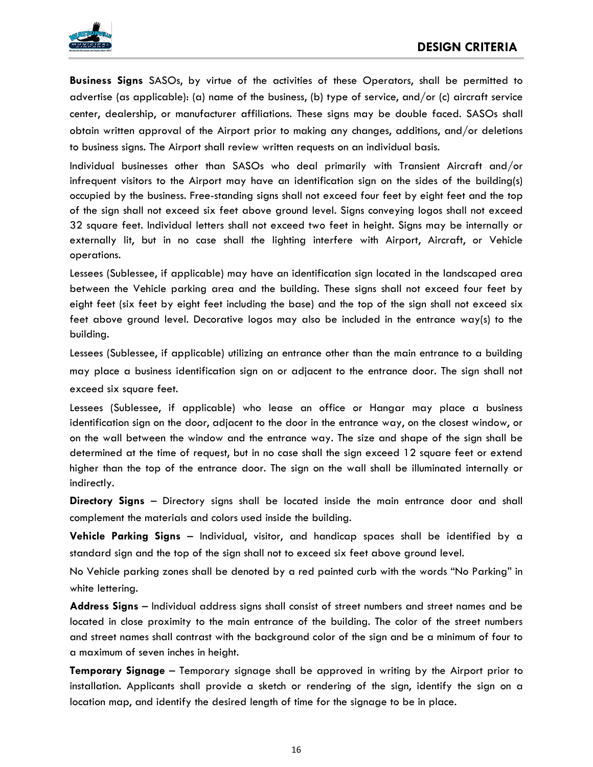

**Business Signs** SASOs, by virtue of the activities of these Operators, shall be permitted to advertise (as applicable): (a) name of the business, (b) type of service, and/or (c) aircraft service center, dealership, or manufacturer affiliations. These signs may be double faced. SASOs shall obtain written approval of the Airport prior to making any changes, additions, and/or deletions to business signs. The Airport shall review written requests on an individual basis.

Individual businesses other than SASOs who deal primarily with Transient Aircraft and/or infrequent visitors to the Airport may have an identification sign on the sides of the building(s) occupied by the business. Free-standing signs shall not exceed four feet by eight feet and the top of the sign shall not exceed six feet above ground level. Signs conveying logos shall not exceed 32 square feet. Individual letters shall not exceed two feet in height. Signs may be internally or externally lit, but in no case shall the lighting interfere with Airport, Aircraft, or Vehicle operations.

Lessees (Sublessee, if applicable) may have an identification sign located in the landscaped area between the Vehicle parking area and the building. These signs shall not exceed four feet by eight feet (six feet by eight feet including the base) and the top of the sign shall not exceed six feet above ground level. Decorative logos may also be included in the entrance way(s) to the building.

Lessees (Sublessee, if applicable) utilizing an entrance other than the main entrance to a building may place a business identification sign on or adjacent to the entrance door. The sign shall not exceed six square feet.

Lessees (Sublessee, if applicable) who lease an office or Hangar may place a business identification sign on the door, adjacent to the door in the entrance way, on the closest window, or on the wall between the window and the entrance way. The size and shape of the sign shall be determined at the time of request, but in no case shall the sign exceed 12 square feet or extend higher than the top of the entrance door. The sign on the wall shall be illuminated internally or indirectly.

**Directory Signs** – Directory signs shall be located inside the main entrance door and shall complement the materials and colors used inside the building.

**Vehicle Parking Signs** – Individual, visitor, and handicap spaces shall be identified by a standard sign and the top of the sign shall not to exceed six feet above ground level.

No Vehicle parking zones shall be denoted by a red painted curb with the words "No Parking" in white lettering.

**Address Signs** – Individual address signs shall consist of street numbers and street names and be located in close proximity to the main entrance of the building. The color of the street numbers and street names shall contrast with the background color of the sign and be a minimum of four to a maximum of seven inches in height.

**Temporary Signage** – Temporary signage shall be approved in writing by the Airport prior to installation. Applicants shall provide a sketch or rendering of the sign, identify the sign on a location map, and identify the desired length of time for the signage to be in place.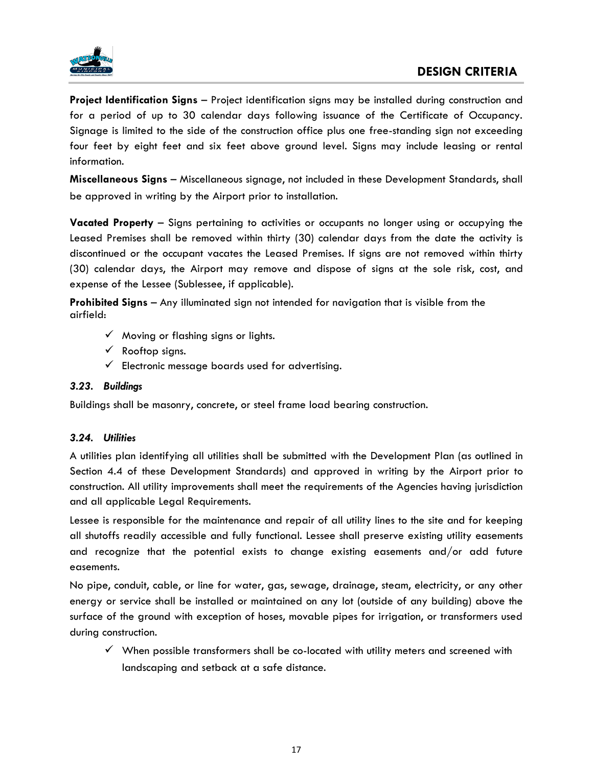

**Project Identification Signs** – Project identification signs may be installed during construction and for a period of up to 30 calendar days following issuance of the Certificate of Occupancy. Signage is limited to the side of the construction office plus one free-standing sign not exceeding four feet by eight feet and six feet above ground level. Signs may include leasing or rental information.

**Miscellaneous Signs** – Miscellaneous signage, not included in these Development Standards, shall be approved in writing by the Airport prior to installation.

**Vacated Property** – Signs pertaining to activities or occupants no longer using or occupying the Leased Premises shall be removed within thirty (30) calendar days from the date the activity is discontinued or the occupant vacates the Leased Premises. If signs are not removed within thirty (30) calendar days, the Airport may remove and dispose of signs at the sole risk, cost, and expense of the Lessee (Sublessee, if applicable).

**Prohibited Signs** – Any illuminated sign not intended for navigation that is visible from the airfield:

- $\checkmark$  Moving or flashing signs or lights.
- $\checkmark$  Rooftop signs.
- $\checkmark$  Electronic message boards used for advertising.

## *3.23. Buildings*

Buildings shall be masonry, concrete, or steel frame load bearing construction.

#### *3.24. Utilities*

A utilities plan identifying all utilities shall be submitted with the Development Plan (as outlined in Section 4.4 of these Development Standards) and approved in writing by the Airport prior to construction. All utility improvements shall meet the requirements of the Agencies having jurisdiction and all applicable Legal Requirements.

Lessee is responsible for the maintenance and repair of all utility lines to the site and for keeping all shutoffs readily accessible and fully functional. Lessee shall preserve existing utility easements and recognize that the potential exists to change existing easements and/or add future easements.

No pipe, conduit, cable, or line for water, gas, sewage, drainage, steam, electricity, or any other energy or service shall be installed or maintained on any lot (outside of any building) above the surface of the ground with exception of hoses, movable pipes for irrigation, or transformers used during construction.

 $\checkmark$  When possible transformers shall be co-located with utility meters and screened with landscaping and setback at a safe distance.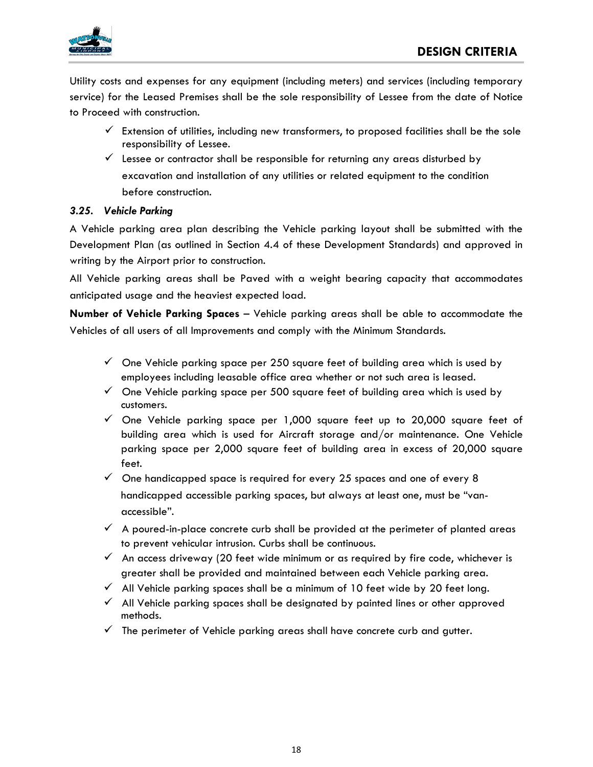

Utility costs and expenses for any equipment (including meters) and services (including temporary service) for the Leased Premises shall be the sole responsibility of Lessee from the date of Notice to Proceed with construction.

- $\checkmark$  Extension of utilities, including new transformers, to proposed facilities shall be the sole responsibility of Lessee.
- $\checkmark$  Lessee or contractor shall be responsible for returning any areas disturbed by excavation and installation of any utilities or related equipment to the condition before construction.

# *3.25. Vehicle Parking*

A Vehicle parking area plan describing the Vehicle parking layout shall be submitted with the Development Plan (as outlined in Section 4.4 of these Development Standards) and approved in writing by the Airport prior to construction.

All Vehicle parking areas shall be Paved with a weight bearing capacity that accommodates anticipated usage and the heaviest expected load.

**Number of Vehicle Parking Spaces** – Vehicle parking areas shall be able to accommodate the Vehicles of all users of all Improvements and comply with the Minimum Standards.

- $\checkmark$  One Vehicle parking space per 250 square feet of building area which is used by employees including leasable office area whether or not such area is leased.
- $\checkmark$  One Vehicle parking space per 500 square feet of building area which is used by customers.
- ✓ One Vehicle parking space per 1,000 square feet up to 20,000 square feet of building area which is used for Aircraft storage and/or maintenance. One Vehicle parking space per 2,000 square feet of building area in excess of 20,000 square feet.
- $\checkmark$  One handicapped space is required for every 25 spaces and one of every 8 handicapped accessible parking spaces, but always at least one, must be "vanaccessible".
- $\checkmark$  A poured-in-place concrete curb shall be provided at the perimeter of planted areas to prevent vehicular intrusion. Curbs shall be continuous.
- $\checkmark$  An access driveway (20 feet wide minimum or as required by fire code, whichever is greater shall be provided and maintained between each Vehicle parking area.
- $\checkmark$  All Vehicle parking spaces shall be a minimum of 10 feet wide by 20 feet long.
- ✓ All Vehicle parking spaces shall be designated by painted lines or other approved methods.
- $\checkmark$  The perimeter of Vehicle parking areas shall have concrete curb and gutter.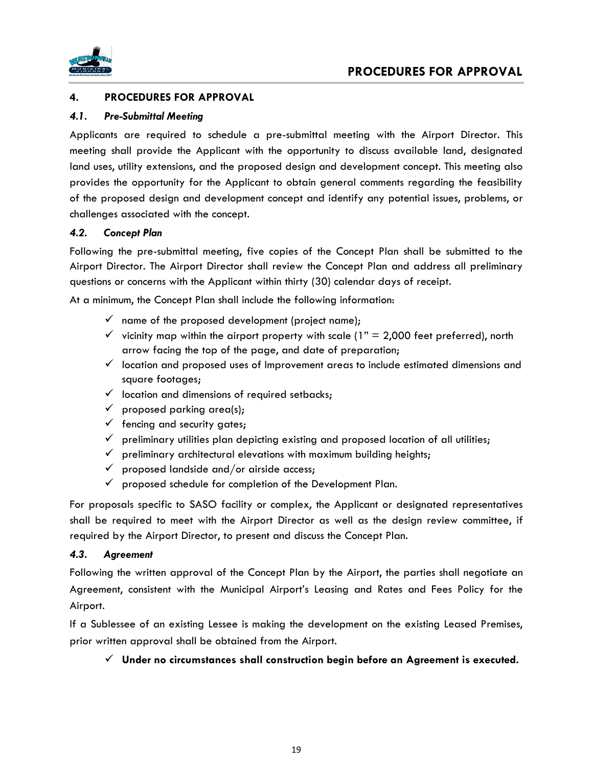

# **4. PROCEDURES FOR APPROVAL**

#### *4.1. Pre-Submittal Meeting*

Applicants are required to schedule a pre-submittal meeting with the Airport Director. This meeting shall provide the Applicant with the opportunity to discuss available land, designated land uses, utility extensions, and the proposed design and development concept. This meeting also provides the opportunity for the Applicant to obtain general comments regarding the feasibility of the proposed design and development concept and identify any potential issues, problems, or challenges associated with the concept.

#### *4.2. Concept Plan*

Following the pre-submittal meeting, five copies of the Concept Plan shall be submitted to the Airport Director. The Airport Director shall review the Concept Plan and address all preliminary questions or concerns with the Applicant within thirty (30) calendar days of receipt.

At a minimum, the Concept Plan shall include the following information:

- $\checkmark$  name of the proposed development (project name);
- $\checkmark$  vicinity map within the airport property with scale (1" = 2,000 feet preferred), north arrow facing the top of the page, and date of preparation;
- $\checkmark$  location and proposed uses of Improvement areas to include estimated dimensions and square footages;
- $\checkmark$  location and dimensions of required setbacks;
- $\checkmark$  proposed parking area(s);
- $\checkmark$  fencing and security gates;
- $\checkmark$  preliminary utilities plan depicting existing and proposed location of all utilities;
- $\checkmark$  preliminary architectural elevations with maximum building heights;
- $\checkmark$  proposed landside and/or airside access;
- $\checkmark$  proposed schedule for completion of the Development Plan.

For proposals specific to SASO facility or complex, the Applicant or designated representatives shall be required to meet with the Airport Director as well as the design review committee, if required by the Airport Director, to present and discuss the Concept Plan.

#### *4.3. Agreement*

Following the written approval of the Concept Plan by the Airport, the parties shall negotiate an Agreement, consistent with the Municipal Airport's Leasing and Rates and Fees Policy for the Airport.

If a Sublessee of an existing Lessee is making the development on the existing Leased Premises, prior written approval shall be obtained from the Airport.

#### ✓ **Under no circumstances shall construction begin before an Agreement is executed.**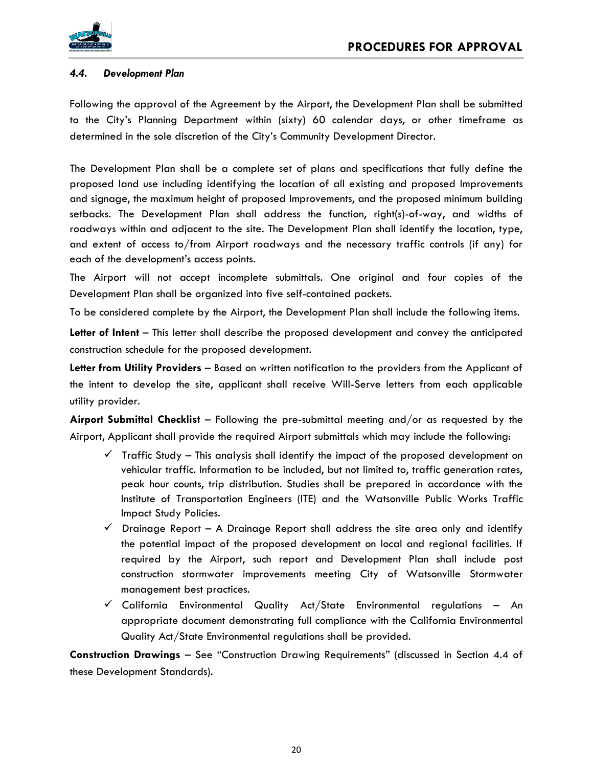

# *4.4. Development Plan*

Following the approval of the Agreement by the Airport, the Development Plan shall be submitted to the City's Planning Department within (sixty) 60 calendar days, or other timeframe as determined in the sole discretion of the City's Community Development Director.

The Development Plan shall be a complete set of plans and specifications that fully define the proposed land use including identifying the location of all existing and proposed Improvements and signage, the maximum height of proposed Improvements, and the proposed minimum building setbacks. The Development Plan shall address the function, right(s)-of-way, and widths of roadways within and adjacent to the site. The Development Plan shall identify the location, type, and extent of access to/from Airport roadways and the necessary traffic controls (if any) for each of the development's access points.

The Airport will not accept incomplete submittals. One original and four copies of the Development Plan shall be organized into five self-contained packets.

To be considered complete by the Airport, the Development Plan shall include the following items.

**Letter of Intent** – This letter shall describe the proposed development and convey the anticipated construction schedule for the proposed development.

**Letter from Utility Providers** – Based on written notification to the providers from the Applicant of the intent to develop the site, applicant shall receive Will-Serve letters from each applicable utility provider.

**Airport Submittal Checklist** – Following the pre-submittal meeting and/or as requested by the Airport, Applicant shall provide the required Airport submittals which may include the following:

- $\checkmark$  Traffic Study This analysis shall identify the impact of the proposed development on vehicular traffic. Information to be included, but not limited to, traffic generation rates, peak hour counts, trip distribution. Studies shall be prepared in accordance with the Institute of Transportation Engineers (ITE) and the Watsonville Public Works Traffic Impact Study Policies.
- $\checkmark$  Drainage Report A Drainage Report shall address the site area only and identify the potential impact of the proposed development on local and regional facilities. If required by the Airport, such report and Development Plan shall include post construction stormwater improvements meeting City of Watsonville Stormwater management best practices.
- $\checkmark$  California Environmental Quality Act/State Environmental regulations An appropriate document demonstrating full compliance with the California Environmental Quality Act/State Environmental regulations shall be provided.

**Construction Drawings** – See "Construction Drawing Requirements" (discussed in Section 4.4 of these Development Standards).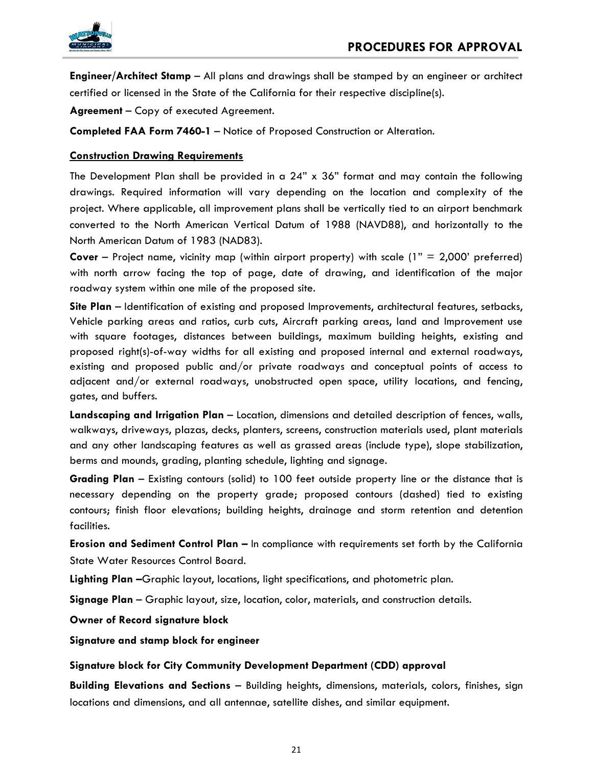

**Engineer/Architect Stamp** – All plans and drawings shall be stamped by an engineer or architect certified or licensed in the State of the California for their respective discipline(s).

**Agreement** – Copy of executed Agreement.

**Completed FAA Form 7460-1** – Notice of Proposed Construction or Alteration.

# **Construction Drawing Requirements**

The Development Plan shall be provided in a 24" x 36" format and may contain the following drawings. Required information will vary depending on the location and complexity of the project. Where applicable, all improvement plans shall be vertically tied to an airport benchmark converted to the North American Vertical Datum of 1988 (NAVD88), and horizontally to the North American Datum of 1983 (NAD83).

**Cover** – Project name, vicinity map (within airport property) with scale (1" = 2,000' preferred) with north arrow facing the top of page, date of drawing, and identification of the major roadway system within one mile of the proposed site.

**Site Plan** – Identification of existing and proposed Improvements, architectural features, setbacks, Vehicle parking areas and ratios, curb cuts, Aircraft parking areas, land and Improvement use with square footages, distances between buildings, maximum building heights, existing and proposed right(s)-of-way widths for all existing and proposed internal and external roadways, existing and proposed public and/or private roadways and conceptual points of access to adjacent and/or external roadways, unobstructed open space, utility locations, and fencing, gates, and buffers.

**Landscaping and Irrigation Plan** – Location, dimensions and detailed description of fences, walls, walkways, driveways, plazas, decks, planters, screens, construction materials used, plant materials and any other landscaping features as well as grassed areas (include type), slope stabilization, berms and mounds, grading, planting schedule, lighting and signage.

**Grading Plan** – Existing contours (solid) to 100 feet outside property line or the distance that is necessary depending on the property grade; proposed contours (dashed) tied to existing contours; finish floor elevations; building heights, drainage and storm retention and detention facilities.

**Erosion and Sediment Control Plan –** In compliance with requirements set forth by the California State Water Resources Control Board.

**Lighting Plan –**Graphic layout, locations, light specifications, and photometric plan.

**Signage Plan** – Graphic layout, size, location, color, materials, and construction details.

**Owner of Record signature block**

**Signature and stamp block for engineer**

# **Signature block for City Community Development Department (CDD) approval**

**Building Elevations and Sections** – Building heights, dimensions, materials, colors, finishes, sign locations and dimensions, and all antennae, satellite dishes, and similar equipment.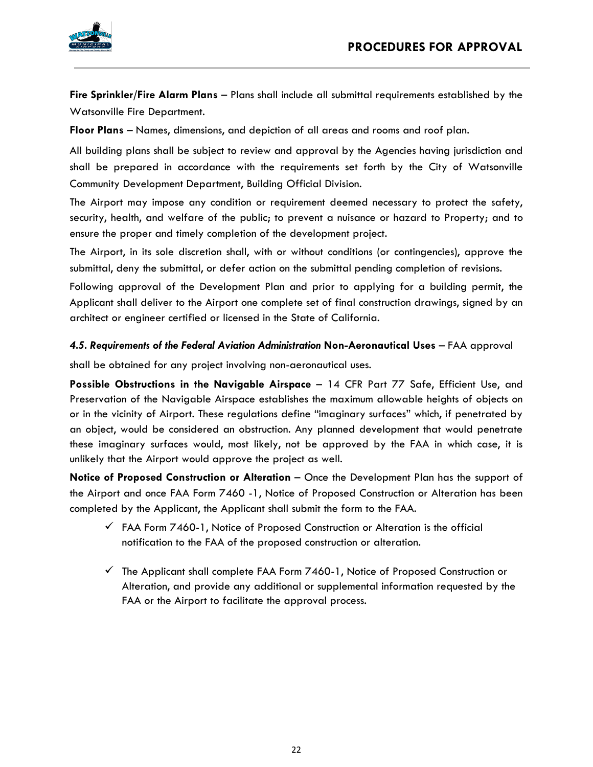

**Fire Sprinkler/Fire Alarm Plans** – Plans shall include all submittal requirements established by the Watsonville Fire Department.

**Floor Plans** – Names, dimensions, and depiction of all areas and rooms and roof plan.

All building plans shall be subject to review and approval by the Agencies having jurisdiction and shall be prepared in accordance with the requirements set forth by the City of Watsonville Community Development Department, Building Official Division.

The Airport may impose any condition or requirement deemed necessary to protect the safety, security, health, and welfare of the public; to prevent a nuisance or hazard to Property; and to ensure the proper and timely completion of the development project.

The Airport, in its sole discretion shall, with or without conditions (or contingencies), approve the submittal, deny the submittal, or defer action on the submittal pending completion of revisions.

Following approval of the Development Plan and prior to applying for a building permit, the Applicant shall deliver to the Airport one complete set of final construction drawings, signed by an architect or engineer certified or licensed in the State of California.

# *4.5. Requirements of the Federal Aviation Administration* **Non-Aeronautical Uses** – FAA approval

shall be obtained for any project involving non-aeronautical uses.

**Possible Obstructions in the Navigable Airspace** – 14 CFR Part 77 Safe, Efficient Use, and Preservation of the Navigable Airspace establishes the maximum allowable heights of objects on or in the vicinity of Airport. These regulations define "imaginary surfaces" which, if penetrated by an object, would be considered an obstruction. Any planned development that would penetrate these imaginary surfaces would, most likely, not be approved by the FAA in which case, it is unlikely that the Airport would approve the project as well.

**Notice of Proposed Construction or Alteration – Once the Development Plan has the support of** the Airport and once FAA Form 7460 -1, Notice of Proposed Construction or Alteration has been completed by the Applicant, the Applicant shall submit the form to the FAA.

- $\checkmark$  FAA Form 7460-1, Notice of Proposed Construction or Alteration is the official notification to the FAA of the proposed construction or alteration.
- $\checkmark$  The Applicant shall complete FAA Form 7460-1, Notice of Proposed Construction or Alteration, and provide any additional or supplemental information requested by the FAA or the Airport to facilitate the approval process.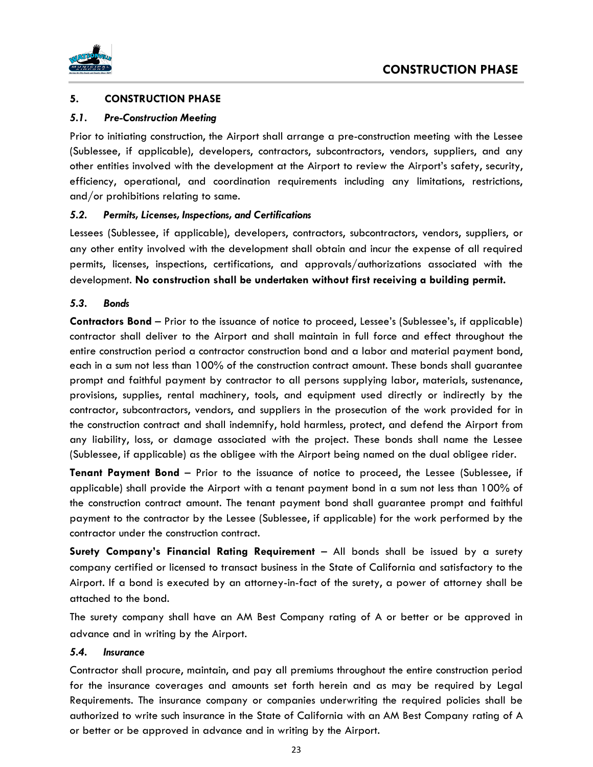<span id="page-22-0"></span>

# **5. CONSTRUCTION PHASE**

#### *5.1. Pre-Construction Meeting*

Prior to initiating construction, the Airport shall arrange a pre-construction meeting with the Lessee (Sublessee, if applicable), developers, contractors, subcontractors, vendors, suppliers, and any other entities involved with the development at the Airport to review the Airport's safety, security, efficiency, operational, and coordination requirements including any limitations, restrictions, and/or prohibitions relating to same.

#### *5.2. Permits, Licenses, Inspections, and Certifications*

Lessees (Sublessee, if applicable), developers, contractors, subcontractors, vendors, suppliers, or any other entity involved with the development shall obtain and incur the expense of all required permits, licenses, inspections, certifications, and approvals/authorizations associated with the development. **No construction shall be undertaken without first receiving a building permit.**

#### *5.3. Bonds*

**Contractors Bond** – Prior to the issuance of notice to proceed, Lessee's (Sublessee's, if applicable) contractor shall deliver to the Airport and shall maintain in full force and effect throughout the entire construction period a contractor construction bond and a labor and material payment bond, each in a sum not less than 100% of the construction contract amount. These bonds shall guarantee prompt and faithful payment by contractor to all persons supplying labor, materials, sustenance, provisions, supplies, rental machinery, tools, and equipment used directly or indirectly by the contractor, subcontractors, vendors, and suppliers in the prosecution of the work provided for in the construction contract and shall indemnify, hold harmless, protect, and defend the Airport from any liability, loss, or damage associated with the project. These bonds shall name the Lessee (Sublessee, if applicable) as the obligee with the Airport being named on the dual obligee rider.

**Tenant Payment Bond** – Prior to the issuance of notice to proceed, the Lessee (Sublessee, if applicable) shall provide the Airport with a tenant payment bond in a sum not less than 100% of the construction contract amount. The tenant payment bond shall guarantee prompt and faithful payment to the contractor by the Lessee (Sublessee, if applicable) for the work performed by the contractor under the construction contract.

**Surety Company's Financial Rating Requirement** – All bonds shall be issued by a surety company certified or licensed to transact business in the State of California and satisfactory to the Airport. If a bond is executed by an attorney-in-fact of the surety, a power of attorney shall be attached to the bond.

The surety company shall have an AM Best Company rating of A or better or be approved in advance and in writing by the Airport.

#### *5.4. Insurance*

Contractor shall procure, maintain, and pay all premiums throughout the entire construction period for the insurance coverages and amounts set forth herein and as may be required by Legal Requirements. The insurance company or companies underwriting the required policies shall be authorized to write such insurance in the State of California with an AM Best Company rating of A or better or be approved in advance and in writing by the Airport.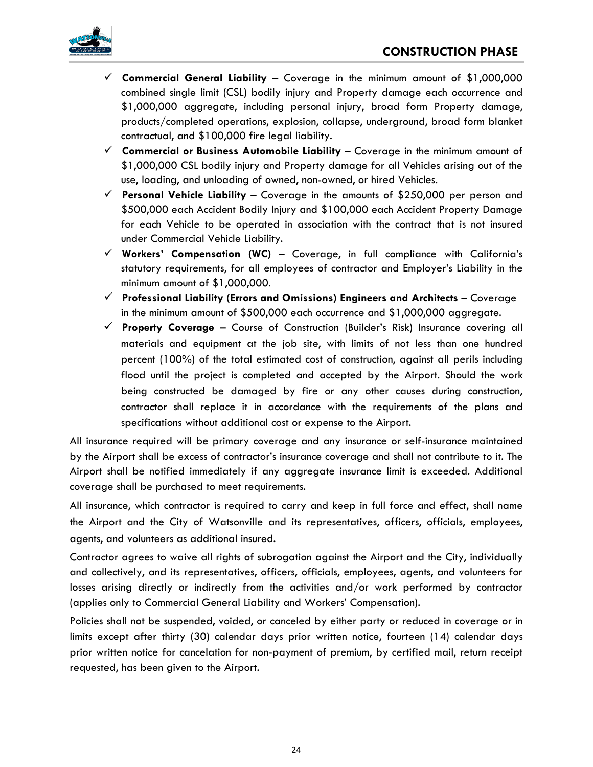



- ✓ **Commercial General Liability**  Coverage in the minimum amount of \$1,000,000 combined single limit (CSL) bodily injury and Property damage each occurrence and \$1,000,000 aggregate, including personal injury, broad form Property damage, products/completed operations, explosion, collapse, underground, broad form blanket contractual, and \$100,000 fire legal liability.
- ✓ **Commercial or Business Automobile Liability**  Coverage in the minimum amount of \$1,000,000 CSL bodily injury and Property damage for all Vehicles arising out of the use, loading, and unloading of owned, non-owned, or hired Vehicles.
- ✓ **Personal Vehicle Liability**  Coverage in the amounts of \$250,000 per person and \$500,000 each Accident Bodily Injury and \$100,000 each Accident Property Damage for each Vehicle to be operated in association with the contract that is not insured under Commercial Vehicle Liability.
- ✓ **Workers' Compensation (WC)**  Coverage, in full compliance with California's statutory requirements, for all employees of contractor and Employer's Liability in the minimum amount of \$1,000,000.
- ✓ **Professional Liability (Errors and Omissions) Engineers and Architects**  Coverage in the minimum amount of \$500,000 each occurrence and \$1,000,000 aggregate.
- ✓ **Property Coverage**  Course of Construction (Builder's Risk) Insurance covering all materials and equipment at the job site, with limits of not less than one hundred percent (100%) of the total estimated cost of construction, against all perils including flood until the project is completed and accepted by the Airport. Should the work being constructed be damaged by fire or any other causes during construction, contractor shall replace it in accordance with the requirements of the plans and specifications without additional cost or expense to the Airport.

All insurance required will be primary coverage and any insurance or self-insurance maintained by the Airport shall be excess of contractor's insurance coverage and shall not contribute to it. The Airport shall be notified immediately if any aggregate insurance limit is exceeded. Additional coverage shall be purchased to meet requirements.

All insurance, which contractor is required to carry and keep in full force and effect, shall name the Airport and the City of Watsonville and its representatives, officers, officials, employees, agents, and volunteers as additional insured.

Contractor agrees to waive all rights of subrogation against the Airport and the City, individually and collectively, and its representatives, officers, officials, employees, agents, and volunteers for losses arising directly or indirectly from the activities and/or work performed by contractor (applies only to Commercial General Liability and Workers' Compensation).

Policies shall not be suspended, voided, or canceled by either party or reduced in coverage or in limits except after thirty (30) calendar days prior written notice, fourteen (14) calendar days prior written notice for cancelation for non-payment of premium, by certified mail, return receipt requested, has been given to the Airport.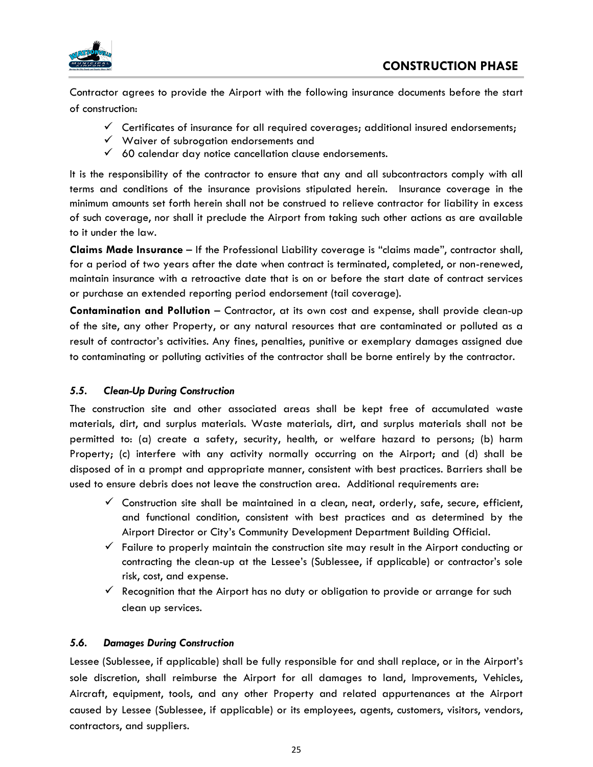<span id="page-24-0"></span>

Contractor agrees to provide the Airport with the following insurance documents before the start of construction:

- $\checkmark$  Certificates of insurance for all required coverages; additional insured endorsements;
- ✓ Waiver of subrogation endorsements and
- $60$  calendar day notice cancellation clause endorsements.

It is the responsibility of the contractor to ensure that any and all subcontractors comply with all terms and conditions of the insurance provisions stipulated herein. Insurance coverage in the minimum amounts set forth herein shall not be construed to relieve contractor for liability in excess of such coverage, nor shall it preclude the Airport from taking such other actions as are available to it under the law.

**Claims Made Insurance** – If the Professional Liability coverage is "claims made", contractor shall, for a period of two years after the date when contract is terminated, completed, or non-renewed, maintain insurance with a retroactive date that is on or before the start date of contract services or purchase an extended reporting period endorsement (tail coverage).

**Contamination and Pollution** – Contractor, at its own cost and expense, shall provide clean-up of the site, any other Property, or any natural resources that are contaminated or polluted as a result of contractor's activities. Any fines, penalties, punitive or exemplary damages assigned due to contaminating or polluting activities of the contractor shall be borne entirely by the contractor.

# *5.5. Clean-Up During Construction*

The construction site and other associated areas shall be kept free of accumulated waste materials, dirt, and surplus materials. Waste materials, dirt, and surplus materials shall not be permitted to: (a) create a safety, security, health, or welfare hazard to persons; (b) harm Property; (c) interfere with any activity normally occurring on the Airport; and (d) shall be disposed of in a prompt and appropriate manner, consistent with best practices. Barriers shall be used to ensure debris does not leave the construction area. Additional requirements are:

- $\checkmark$  Construction site shall be maintained in a clean, neat, orderly, safe, secure, efficient, and functional condition, consistent with best practices and as determined by the Airport Director or City's Community Development Department Building Official.
- $\checkmark$  Failure to properly maintain the construction site may result in the Airport conducting or contracting the clean-up at the Lessee's (Sublessee, if applicable) or contractor's sole risk, cost, and expense.
- $\checkmark$  Recognition that the Airport has no duty or obligation to provide or arrange for such clean up services.

# *5.6. Damages During Construction*

Lessee (Sublessee, if applicable) shall be fully responsible for and shall replace, or in the Airport's sole discretion, shall reimburse the Airport for all damages to land, Improvements, Vehicles, Aircraft, equipment, tools, and any other Property and related appurtenances at the Airport caused by Lessee (Sublessee, if applicable) or its employees, agents, customers, visitors, vendors, contractors, and suppliers.